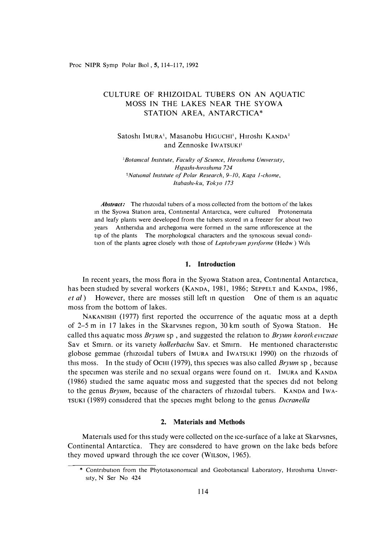Proc **NIPR** Syrup Polar Biol , **5,** 114-117, 1992

# CULTURE OF RHIZOIDAL TUBERS ON AN AQUATIC MOSS IN THE LAKES NEAR THE SYOWA STATION AREA, ANTARCTICA\*

## Satoshi IMURA<sup>1</sup>, Masanobu HIGUCHI<sup>1</sup>, HIroshi KANDA<sup>2</sup> and Zennoske IWATSUKI<sup>1</sup>

<sup>1</sup>*Botanical Institute, Faculty of Science, Hiroshima University, Hzgashz-hirosh1ma 724*  <sup>2</sup>*National Institute of Polar Research, 9-10, Kaga 1-chome, ltabash1-ku, Tokyo 173* 

*Abstract:* The rhizoidal tubers of a moss collected from the bottom of the lakes in the Syowa Station area, Continental Antarctica, were cultured Protonemata and leafy plants were developed from the tubers stored m a freezer for about two years Antheridia and archegonia were formed in the same inflorescence at the tip of the plants The morphological characters and the synoncous sexual condition of the plants agree closely with those of *Leptobryum pyriforme* (Hedw) Wils

### **1. Introduction**

In recent years, the moss flora in the Syowa Station area, Continental Antarctica, has been studied by several workers (KANDA, 1981, 1986; SEPPELT and KANDA, 1986, *et al*) However, there are mosses still left in question One of them is an aquatic moss from the bottom of lakes.

NAKANISHI (1977) first reported the occurrence of the aquatic moss at a depth of 2–5 m in 17 lakes in the Skarvsnes region,  $30 \text{ km}$  south of Syowa Station. He called this aquatic moss *Bryum* sp, and suggested the relation to *Bryum korotkevicziae* Sav et Smirn. or its variety *hollerbachu* Sav. et Smirn. He mentioned characteristic globose gemmae (rh1z01dal tubers of lMURA and IWATSUKI 1990) on the rh1z01ds of this moss. In the study of 0cm (1979), this species was also called *Bryum* sp , because the specimen was sterile and no sexual organs were found on 1t. IMURA and KANDA (1986) studied the same aquatic moss and suggested that the species did not belong to the genus *Bryum*, because of the characters of rhizoidal tubers. KANDA and IWA-TSUKI (1989) considered that the species might belong to the genus *Dicranella* 

## **2. Materials and Methods**

Materials used for this study were collected on the ice-surface of a lake at Skarvsnes, Continental Antarctica. They are considered to have grown on the lake beds before they moved upward through the ice cover (WILSON, 1965).

<sup>\*</sup> Contribution from the Phytotaxonomical and Geobotanical Laboratory, Hiroshima University, N Ser No 424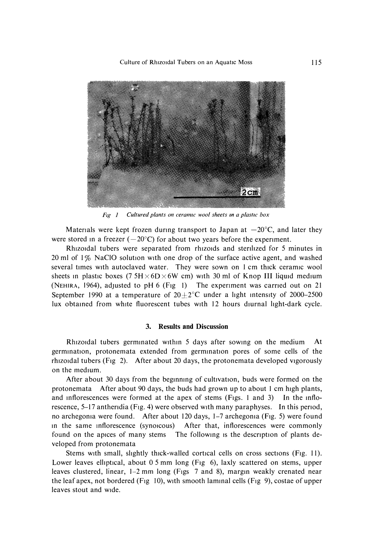*Culture of Rh1zo1dal Tubers on an Aquatic Moss* 



*Ftg 1 Cultured plants on ceramic wool sheets m a plasflc box* 

Materials were kept frozen during transport to Japan at  $-20^{\circ}$ C, and later they were stored in a freezer  $(-20^{\circ}C)$  for about two years before the experiment.

Rhizoidal tubers were separated from rhizoids and sterilized for 5 minutes in 20 ml of  $1\%$  NaClO solution with one drop of the surface active agent, and washed several times with autoclaved water. They were sown on 1 cm thick ceramic wool sheets in plastic boxes (7.5H $\times$ 6D $\times$ 6W cm) with 30 ml of Knop III liquid medium (NEHIRA, 1964), adJusted to pH 6 (Fig I) The expenment was earned out on 21 September 1990 at a temperature of  $20\pm2^{\circ}$ C under a light intensity of 2000–2500 lux obtained from white fluorescent tubes with 12 hours diurnal light-dark cycle.

### **3. Results and Discussion**

Rhizoidal tubers germinated within  $5$  days after sowing on the medium germination, protonemata extended from germination pores of some cells of the rhizoidal tubers (Fig 2). After about 20 days, the protonemata developed vigorously on the medium.

After about 30 days from the beginning of cultivation, buds were formed on the protonemata After about 90 days, the buds had grown up to about I cm high plants, and mflorescences were formed at the apex of stems (Figs. I and 3) In the mflorescence, 5-17 anthendia (Fig. 4) were observed with many paraphyses. In this penod, no archegoma were found. After about 120 days, 1-7 archegoma (Fig. 5) were found in the same inflorescence (synoicous) After that, inflorescences were commonly found on the apices of many stems The following is the description of plants developed from protonemata

Stems with small, slightly thick-walled cortical cells on cross sections (Fig. 11). Lower leaves elliptical, about 0.5 mm long (Fig 6), laxly scattered on stems, upper leaves clustered, linear, 1–2 mm long (Figs 7 and 8), margin weakly crenated near the leaf apex, not bordered (Fig 10), with smooth laminal cells (Fig 9), costae of upper leaves stout and wide.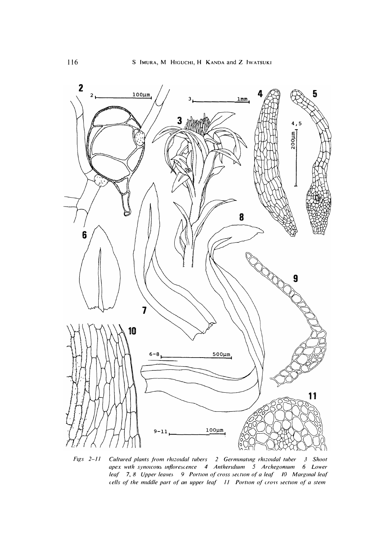

 $Figs 2-I1$ Cultured plants from rhizoidal tubers 2 Germinating rhizoidal tuber 3 Shoot apex with synoicous inflorescence 4 Antheridium 5 Archegonium 6 Lower leaf 7, 8 Upper leaves 9 Portion of cross section of a leaf 10 Marginal leaf cells of the middle part of an upper leaf 11 Portion of cross section of a stem